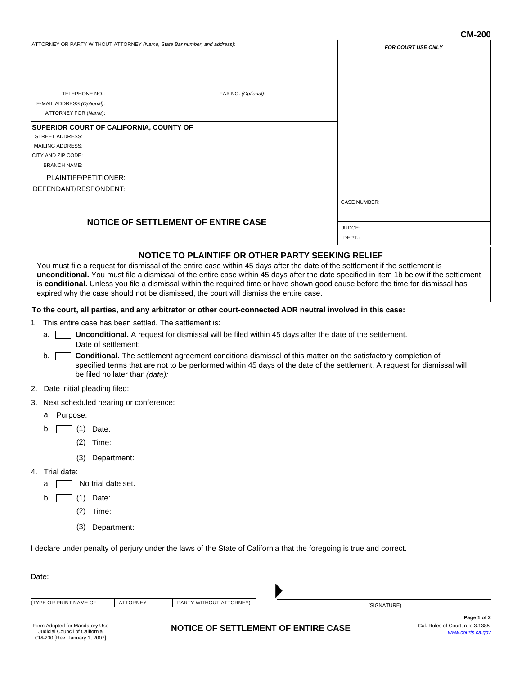|                                                                                                                                                                                                                                                                                                                                                                                                                                                                                                     | <b>CM-200</b>             |
|-----------------------------------------------------------------------------------------------------------------------------------------------------------------------------------------------------------------------------------------------------------------------------------------------------------------------------------------------------------------------------------------------------------------------------------------------------------------------------------------------------|---------------------------|
| ATTORNEY OR PARTY WITHOUT ATTORNEY (Name, State Bar number, and address):                                                                                                                                                                                                                                                                                                                                                                                                                           | <b>FOR COURT USE ONLY</b> |
| TELEPHONE NO.:<br>FAX NO. (Optional):<br>E-MAIL ADDRESS (Optional):                                                                                                                                                                                                                                                                                                                                                                                                                                 |                           |
| ATTORNEY FOR (Name):                                                                                                                                                                                                                                                                                                                                                                                                                                                                                |                           |
| SUPERIOR COURT OF CALIFORNIA, COUNTY OF<br><b>STREET ADDRESS:</b>                                                                                                                                                                                                                                                                                                                                                                                                                                   |                           |
| <b>MAILING ADDRESS:</b>                                                                                                                                                                                                                                                                                                                                                                                                                                                                             |                           |
| CITY AND ZIP CODE:                                                                                                                                                                                                                                                                                                                                                                                                                                                                                  |                           |
| <b>BRANCH NAME:</b>                                                                                                                                                                                                                                                                                                                                                                                                                                                                                 |                           |
| PLAINTIFF/PETITIONER:                                                                                                                                                                                                                                                                                                                                                                                                                                                                               |                           |
| DEFENDANT/RESPONDENT:                                                                                                                                                                                                                                                                                                                                                                                                                                                                               |                           |
|                                                                                                                                                                                                                                                                                                                                                                                                                                                                                                     | <b>CASE NUMBER:</b>       |
| <b>NOTICE OF SETTLEMENT OF ENTIRE CASE</b>                                                                                                                                                                                                                                                                                                                                                                                                                                                          |                           |
|                                                                                                                                                                                                                                                                                                                                                                                                                                                                                                     | JUDGE:<br>DEPT.:          |
|                                                                                                                                                                                                                                                                                                                                                                                                                                                                                                     |                           |
| You must file a request for dismissal of the entire case within 45 days after the date of the settlement if the settlement is<br>unconditional. You must file a dismissal of the entire case within 45 days after the date specified in item 1b below if the settlement<br>is conditional. Unless you file a dismissal within the required time or have shown good cause before the time for dismissal has<br>expired why the case should not be dismissed, the court will dismiss the entire case. |                           |
| To the court, all parties, and any arbitrator or other court-connected ADR neutral involved in this case:                                                                                                                                                                                                                                                                                                                                                                                           |                           |
| 1. This entire case has been settled. The settlement is:                                                                                                                                                                                                                                                                                                                                                                                                                                            |                           |
| Unconditional. A request for dismissal will be filed within 45 days after the date of the settlement.<br>a.<br>Date of settlement:                                                                                                                                                                                                                                                                                                                                                                  |                           |
| Conditional. The settlement agreement conditions dismissal of this matter on the satisfactory completion of<br>b.<br>specified terms that are not to be performed within 45 days of the date of the settlement. A request for dismissal will<br>be filed no later than (date):                                                                                                                                                                                                                      |                           |
| 2. Date initial pleading filed:                                                                                                                                                                                                                                                                                                                                                                                                                                                                     |                           |
| 3. Next scheduled hearing or conference:                                                                                                                                                                                                                                                                                                                                                                                                                                                            |                           |
| a. Purpose:                                                                                                                                                                                                                                                                                                                                                                                                                                                                                         |                           |
| (1)<br>Date:<br>b.                                                                                                                                                                                                                                                                                                                                                                                                                                                                                  |                           |
| (2)<br>Time:                                                                                                                                                                                                                                                                                                                                                                                                                                                                                        |                           |
| (3)<br>Department:                                                                                                                                                                                                                                                                                                                                                                                                                                                                                  |                           |
| Trial date:<br>4.                                                                                                                                                                                                                                                                                                                                                                                                                                                                                   |                           |
| No trial date set.<br>a.                                                                                                                                                                                                                                                                                                                                                                                                                                                                            |                           |
| (1)<br>Date:<br>b.                                                                                                                                                                                                                                                                                                                                                                                                                                                                                  |                           |
| (2)<br>Time:                                                                                                                                                                                                                                                                                                                                                                                                                                                                                        |                           |
| (3)<br>Department:                                                                                                                                                                                                                                                                                                                                                                                                                                                                                  |                           |
| I declare under penalty of perjury under the laws of the State of California that the foregoing is true and correct.                                                                                                                                                                                                                                                                                                                                                                                |                           |
| Date:                                                                                                                                                                                                                                                                                                                                                                                                                                                                                               |                           |
|                                                                                                                                                                                                                                                                                                                                                                                                                                                                                                     |                           |
| (TYPE OR PRINT NAME OF<br><b>ATTORNEY</b><br>PARTY WITHOUT ATTORNEY)                                                                                                                                                                                                                                                                                                                                                                                                                                | (SIGNATURE)               |